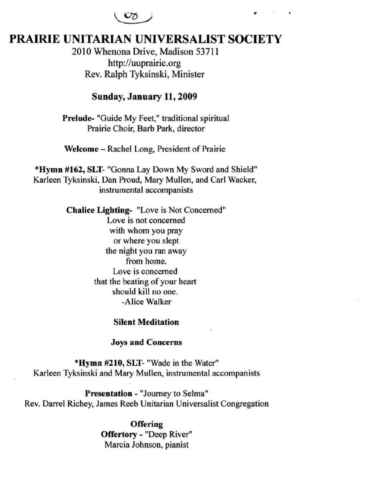$\circ$ 

# PRAIRIE UNITARIAN UNIVERSALIST SOCIETY

2010 Whenona Drive, Madison 53711 http://uuprairie.org Rev. Ralph Tyksinski, Minister

## Sunday, January 11, 2009

Prelude- "Guide My Feet," traditional spiritual Prairie Choir, Barb Park, director

Welcome - Rachel Long, President of Prairie

·Hymn #162, SLT- "Gonna Lay Down My Sword and Shield" Karleen Tyksinski, Dan Proud, Mary Mullen, and Carl Wacker, instrumental accompanists

> Chalice Lighting- "Love is Not Concerned" Love is not concerned with whom you pray or where you slept the night you ran away from home. Love is concerned that the beating of your heart should kill no one. -Alice Walker

#### Silent Meditation

#### Joys and Concerns

·Hymn #210, SLT- "Wade in the Water" Karleen Tyksinski and Mary Mullen, instrumental accompanists

Presentation - "Journey to Selma" Rev. Darrel Richey, James Reeb Unitarian Universalist Congregation

> **Offering** Offertory - "Deep River" Marcia Johnson, pianist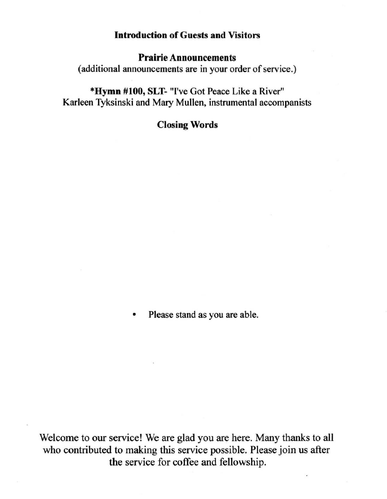## Introduction of Guests and Visitors

## Prairie Announcements

(additional announcements are in your order of service.)

\*Hymn #100, SLT- "I've Got Peace Like a River" Karleen Tyksinski and Mary Mullen, instrumental accompanists

## Closing Words

Please stand as you are able.

Welcome to our service! We are glad you are here. Many thanks to all who contributed to making this service possible. Please join us after the service for coffee and fellowship.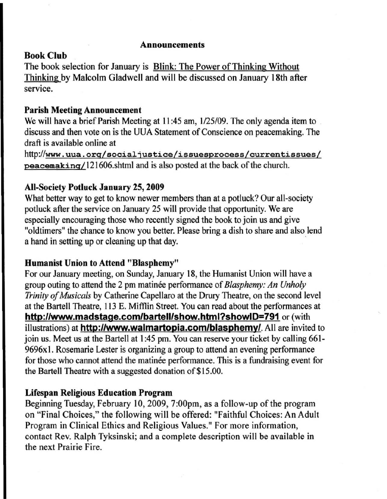### Announcements

## Book Club

The book selection for January is Blink: The Power of Thinking Without Thinking by Malcolm Gladwell and will be discussed on January 18th after service.

## Parisb Meeting Announcement

We will have a brief Parish Meeting at II :45 am, *1/25/09.* The only agenda item to discuss and then vote on is the UUA Statement of Conscience on peacemaking. The draft is available online at

http://www.uua.org/socialjustice/issuesprocess/currentissues/ peacemakinq/121606.shtml and is also posted at the back of the church.

## All-Society Potluck January 25, 2009

What better way to get to know newer members than at a potluck? Our all-society potluck after the service on January 25 will provide that opportunity. We are especially encouraging those who recently signed the book to join us and give "oldtimers" the chance to know you better. Please bring a dish to share and also lend a hand in setting up or cleaning up that day. .

## Humanist Union to Attend "Blasphemy"

For our January meeting, on Sunday, January 18, the Humanist Union will have a group outing to attend the 2 pm matinee performance of *Blasphemy: An Unholy Trinity of Musicals* by Catherine Capellaro at the Drury Theatre, on the second level at the Bartell Theatre, 113 E. Mifflin Street. You can read about the performances at http://www.madstage.com/bartell/show.html?showID=791 or (with illustrations) at **http://www.walmartopia.com/blasphemy/**. All are invited to join us. Meet us at the Bartell at 1:45 pm. You can reserve your ticket by calling 661-9696x I. Rosemarie Lester is organizing a group to attend an evening performance for those who cannot attend the matinee performance. This is a fundraising event for the Bartell Theatre with a suggested donation of \$15.00.

## Lifespan Religious Education Program

Beginning Tuesday, February 10,2009, 7:00pm, as a follow-up of the program on "Final Choices," the following will be offered: "Faithful Choices: An Adult Program in Clinical Ethics and Religious Values." For more information, contact Rev. Ralph Tyksinski; and a complete description will be available in the next Prairie Fire.